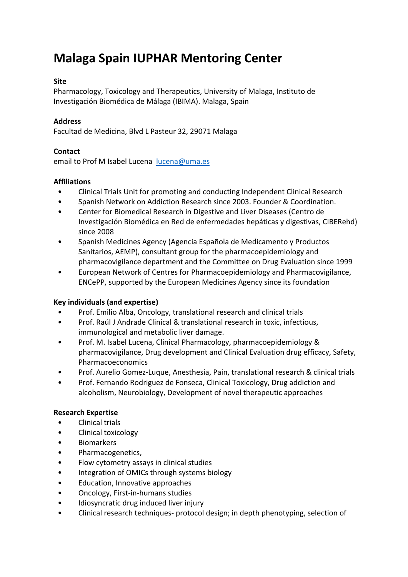# **Malaga Spain IUPHAR Mentoring Center**

### **Site**

Pharmacology, Toxicology and Therapeutics, University of Malaga, Instituto de Investigación Biomédica de Málaga (IBIMA). Malaga, Spain

#### **Address**

Facultad de Medicina, Blvd L Pasteur 32, 29071 Malaga

#### **Contact**

email to Prof M Isabel Lucena lucena@uma.es

#### **Affiliations**

- Clinical Trials Unit for promoting and conducting Independent Clinical Research
- Spanish Network on Addiction Research since 2003. Founder & Coordination.
- Center for Biomedical Research in Digestive and Liver Diseases (Centro de Investigación Biomédica en Red de enfermedades hepáticas y digestivas, CIBERehd) since 2008
- Spanish Medicines Agency (Agencia Española de Medicamento y Productos Sanitarios, AEMP), consultant group for the pharmacoepidemiology and pharmacovigilance department and the Committee on Drug Evaluation since 1999
- European Network of Centres for Pharmacoepidemiology and Pharmacovigilance, ENCePP, supported by the European Medicines Agency since its foundation

## **Key individuals (and expertise)**

- Prof. Emilio Alba, Oncology, translational research and clinical trials
- Prof. Raúl J Andrade Clinical & translational research in toxic, infectious, immunological and metabolic liver damage.
- Prof. M. Isabel Lucena, Clinical Pharmacology, pharmacoepidemiology & pharmacovigilance, Drug development and Clinical Evaluation drug efficacy, Safety, Pharmacoeconomics
- Prof. Aurelio Gomez‐Luque, Anesthesia, Pain, translational research & clinical trials
- Prof. Fernando Rodriguez de Fonseca, Clinical Toxicology, Drug addiction and alcoholism, Neurobiology, Development of novel therapeutic approaches

#### **Research Expertise**

- Clinical trials
- Clinical toxicology
- Biomarkers
- Pharmacogenetics,
- Flow cytometry assays in clinical studies
- Integration of OMICs through systems biology
- Education, Innovative approaches
- Oncology, First‐in‐humans studies
- Idiosyncratic drug induced liver injury
- Clinical research techniques- protocol design; in depth phenotyping, selection of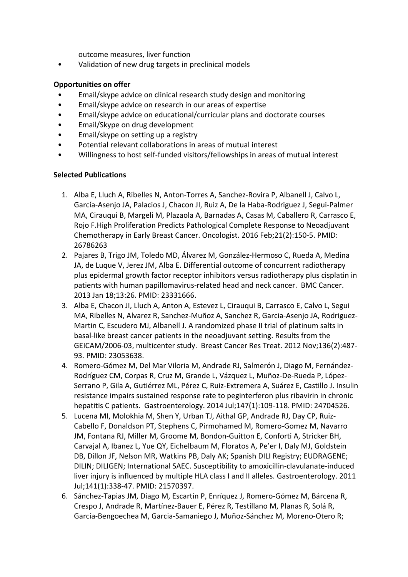outcome measures, liver function

• Validation of new drug targets in preclinical models

## **Opportunities on offer**

- Email/skype advice on clinical research study design and monitoring
- Email/skype advice on research in our areas of expertise
- Email/skype advice on educational/curricular plans and doctorate courses
- Email/Skype on drug development
- Email/skype on setting up a registry
- Potential relevant collaborations in areas of mutual interest
- Willingness to host self-funded visitors/fellowships in areas of mutual interest

## **Selected Publications**

- 1. Alba E, Lluch A, Ribelles N, Anton‐Torres A, Sanchez‐Rovira P, Albanell J, Calvo L, García‐Asenjo JA, Palacios J, Chacon JI, Ruiz A, De la Haba‐Rodriguez J, Segui‐Palmer MA, Cirauqui B, Margeli M, Plazaola A, Barnadas A, Casas M, Caballero R, Carrasco E, Rojo F.High Proliferation Predicts Pathological Complete Response to Neoadjuvant Chemotherapy in Early Breast Cancer. Oncologist. 2016 Feb;21(2):150‐5. PMID: 26786263
- 2. Pajares B, Trigo JM, Toledo MD, Álvarez M, González‐Hermoso C, Rueda A, Medina JA, de Luque V, Jerez JM, Alba E. Differential outcome of concurrent radiotherapy plus epidermal growth factor receptor inhibitors versus radiotherapy plus cisplatin in patients with human papillomavirus-related head and neck cancer. BMC Cancer. 2013 Jan 18;13:26. PMID: 23331666.
- 3. Alba E, Chacon JI, Lluch A, Anton A, Estevez L, Cirauqui B, Carrasco E, Calvo L, Segui MA, Ribelles N, Alvarez R, Sanchez‐Muñoz A, Sanchez R, Garcia‐Asenjo JA, Rodriguez‐ Martin C, Escudero MJ, Albanell J. A randomized phase II trial of platinum salts in basal‐like breast cancer patients in the neoadjuvant setting. Results from the GEICAM/2006‐03, multicenter study. Breast Cancer Res Treat. 2012 Nov;136(2):487‐ 93. PMID: 23053638.
- 4. Romero‐Gómez M, Del Mar Viloria M, Andrade RJ, Salmerón J, Diago M, Fernández‐ Rodríguez CM, Corpas R, Cruz M, Grande L, Vázquez L, Muñoz‐De‐Rueda P, López‐ Serrano P, Gila A, Gutiérrez ML, Pérez C, Ruiz‐Extremera A, Suárez E, Castillo J. Insulin resistance impairs sustained response rate to peginterferon plus ribavirin in chronic hepatitis C patients. Gastroenterology. 2014 Jul;147(1):109‐118. PMID: 24704526.
- 5. Lucena MI, Molokhia M, Shen Y, Urban TJ, Aithal GP, Andrade RJ, Day CP, Ruiz‐ Cabello F, Donaldson PT, Stephens C, Pirmohamed M, Romero‐Gomez M, Navarro JM, Fontana RJ, Miller M, Groome M, Bondon‐Guitton E, Conforti A, Stricker BH, Carvajal A, Ibanez L, Yue QY, Eichelbaum M, Floratos A, Pe'er I, Daly MJ, Goldstein DB, Dillon JF, Nelson MR, Watkins PB, Daly AK; Spanish DILI Registry; EUDRAGENE; DILIN; DILIGEN; International SAEC. Susceptibility to amoxicillin‐clavulanate‐induced liver injury is influenced by multiple HLA class I and II alleles. Gastroenterology. 2011 Jul;141(1):338‐47. PMID: 21570397.
- 6. Sánchez‐Tapias JM, Diago M, Escartín P, Enríquez J, Romero‐Gómez M, Bárcena R, Crespo J, Andrade R, Martínez‐Bauer E, Pérez R, Testillano M, Planas R, Solá R, García‐Bengoechea M, Garcia‐Samaniego J, Muñoz‐Sánchez M, Moreno‐Otero R;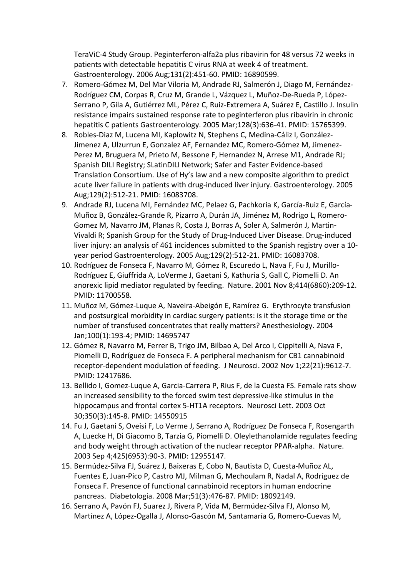TeraViC‐4 Study Group. Peginterferon‐alfa2a plus ribavirin for 48 versus 72 weeks in patients with detectable hepatitis C virus RNA at week 4 of treatment. Gastroenterology. 2006 Aug;131(2):451‐60. PMID: 16890599.

- 7. Romero‐Gómez M, Del Mar Viloria M, Andrade RJ, Salmerón J, Diago M, Fernández‐ Rodríguez CM, Corpas R, Cruz M, Grande L, Vázquez L, Muñoz‐De‐Rueda P, López‐ Serrano P, Gila A, Gutiérrez ML, Pérez C, Ruiz‐Extremera A, Suárez E, Castillo J. Insulin resistance impairs sustained response rate to peginterferon plus ribavirin in chronic hepatitis C patients Gastroenterology. 2005 Mar;128(3):636‐41. PMID: 15765399.
- 8. Robles-Diaz M, Lucena MI, Kaplowitz N, Stephens C, Medina-Cáliz I, González-Jimenez A, Ulzurrun E, Gonzalez AF, Fernandez MC, Romero‐Gómez M, Jimenez‐ Perez M, Bruguera M, Prieto M, Bessone F, Hernandez N, Arrese M1, Andrade RJ; Spanish DILI Registry; SLatinDILI Network; Safer and Faster Evidence‐based Translation Consortium. Use of Hy's law and a new composite algorithm to predict acute liver failure in patients with drug-induced liver injury. Gastroenterology. 2005 Aug;129(2):512‐21. PMID: 16083708.
- 9. Andrade RJ, Lucena MI, Fernández MC, Pelaez G, Pachkoria K, García‐Ruiz E, García‐ Muñoz B, González‐Grande R, Pizarro A, Durán JA, Jiménez M, Rodrigo L, Romero‐ Gomez M, Navarro JM, Planas R, Costa J, Borras A, Soler A, Salmerón J, Martin‐ Vivaldi R; Spanish Group for the Study of Drug‐Induced Liver Disease. Drug‐induced liver injury: an analysis of 461 incidences submitted to the Spanish registry over a 10‐ year period Gastroenterology. 2005 Aug;129(2):512‐21. PMID: 16083708.
- 10. Rodríguez de Fonseca F, Navarro M, Gómez R, Escuredo L, Nava F, Fu J, Murillo‐ Rodríguez E, Giuffrida A, LoVerme J, Gaetani S, Kathuria S, Gall C, Piomelli D. An anorexic lipid mediator regulated by feeding. Nature. 2001 Nov 8;414(6860):209‐12. PMID: 11700558.
- 11. Muñoz M, Gómez‐Luque A, Naveira‐Abeigón E, Ramírez G. Erythrocyte transfusion and postsurgical morbidity in cardiac surgery patients: is it the storage time or the number of transfused concentrates that really matters? Anesthesiology. 2004 Jan;100(1):193‐4; PMID: 14695747
- 12. Gómez R, Navarro M, Ferrer B, Trigo JM, Bilbao A, Del Arco I, Cippitelli A, Nava F, Piomelli D, Rodríguez de Fonseca F. A peripheral mechanism for CB1 cannabinoid receptor‐dependent modulation of feeding. J Neurosci. 2002 Nov 1;22(21):9612‐7. PMID: 12417686.
- 13. Bellido I, Gomez-Luque A, Garcia-Carrera P, Rius F, de la Cuesta FS. Female rats show an increased sensibility to the forced swim test depressive‐like stimulus in the hippocampus and frontal cortex 5-HT1A receptors. Neurosci Lett. 2003 Oct 30;350(3):145‐8. PMID: 14550915
- 14. Fu J, Gaetani S, Oveisi F, Lo Verme J, Serrano A, Rodríguez De Fonseca F, Rosengarth A, Luecke H, Di Giacomo B, Tarzia G, Piomelli D. Oleylethanolamide regulates feeding and body weight through activation of the nuclear receptor PPAR‐alpha. Nature. 2003 Sep 4;425(6953):90‐3. PMID: 12955147.
- 15. Bermúdez‐Silva FJ, Suárez J, Baixeras E, Cobo N, Bautista D, Cuesta‐Muñoz AL, Fuentes E, Juan‐Pico P, Castro MJ, Milman G, Mechoulam R, Nadal A, Rodríguez de Fonseca F. Presence of functional cannabinoid receptors in human endocrine pancreas. Diabetologia. 2008 Mar;51(3):476‐87. PMID: 18092149.
- 16. Serrano A, Pavón FJ, Suarez J, Rivera P, Vida M, Bermúdez‐Silva FJ, Alonso M, Martínez A, López‐Ogalla J, Alonso‐Gascón M, Santamaría G, Romero‐Cuevas M,